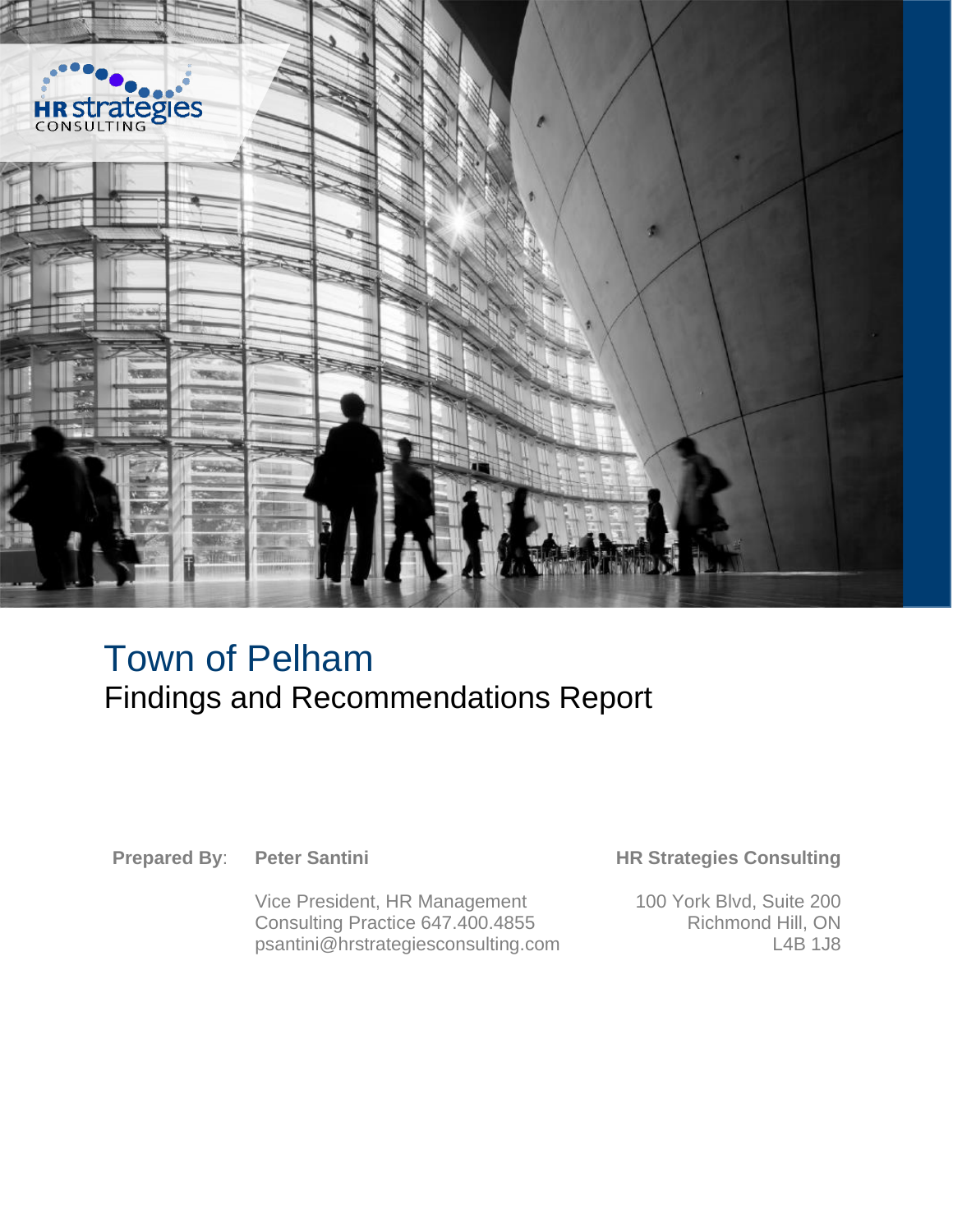

## Town of Pelham Findings and Recommendations Report

**Prepared By**: **Peter Santini**

Vice President, HR Management Consulting Practice 647.400.4855 psantini@hrstrategiesconsulting.com

#### **HR Strategies Consulting**

100 York Blvd, Suite 200 Richmond Hill, ON L4B 1J8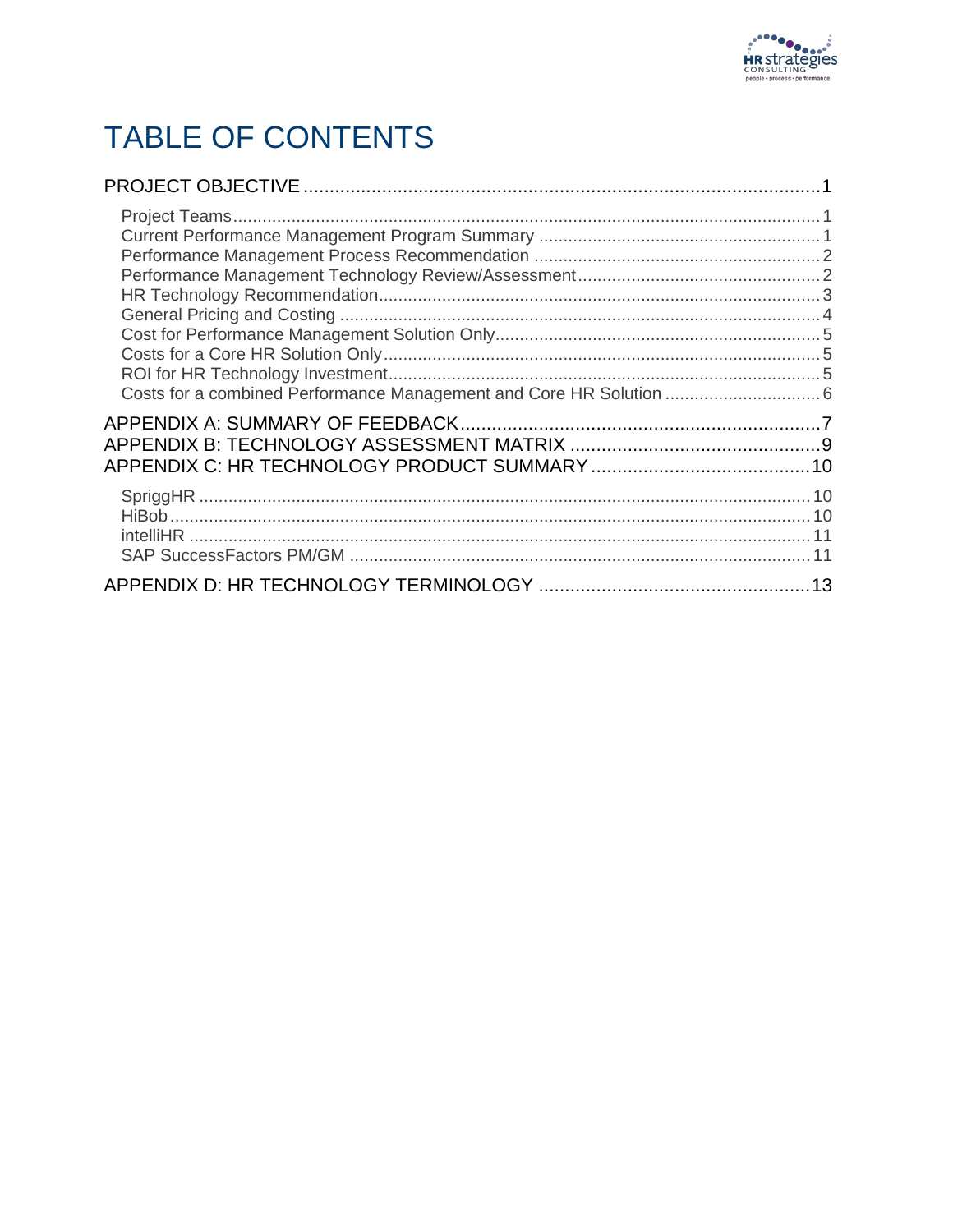

## TABLE OF CONTENTS

| Costs for a combined Performance Management and Core HR Solution  6 |  |
|---------------------------------------------------------------------|--|
|                                                                     |  |
|                                                                     |  |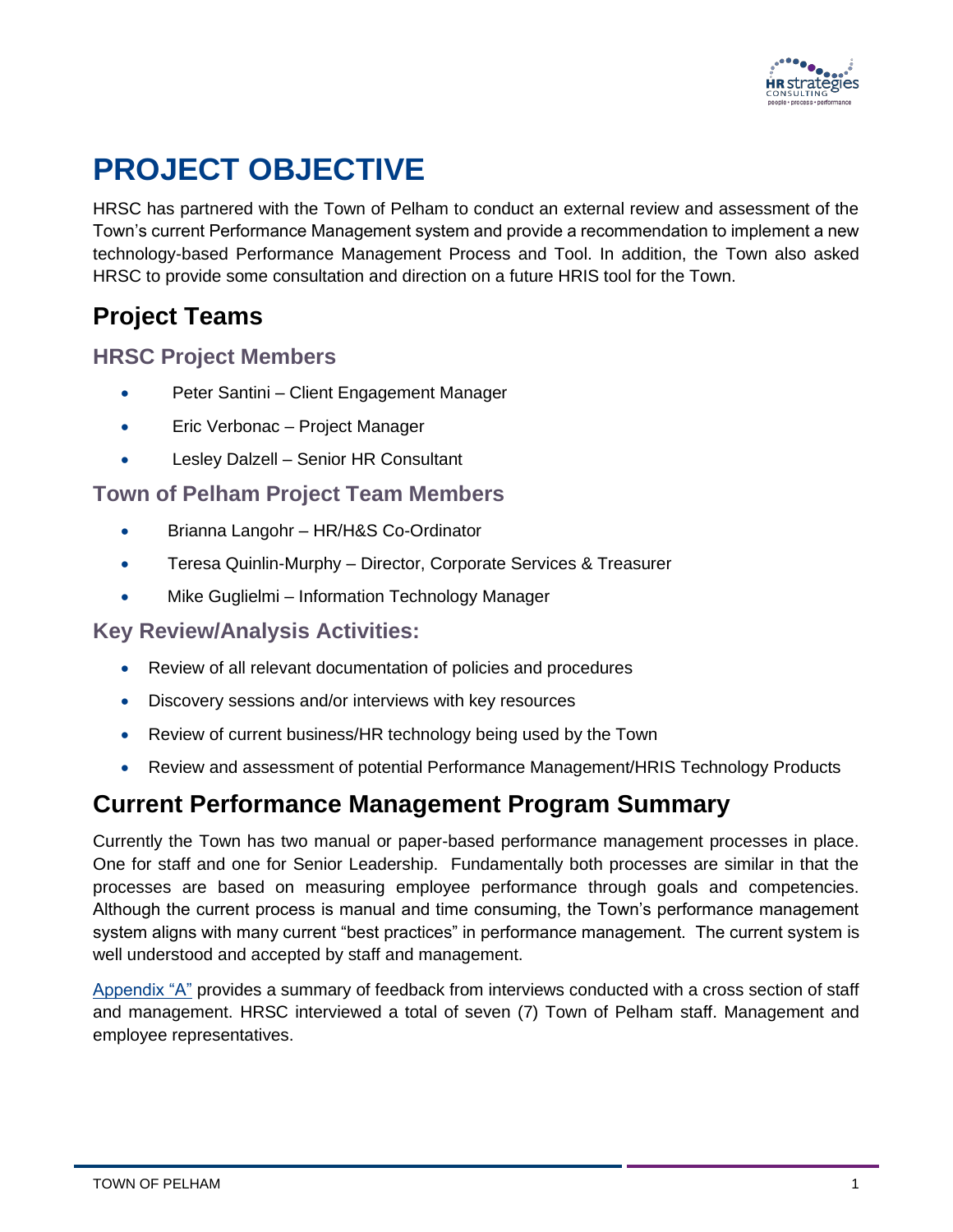

## <span id="page-2-0"></span>**PROJECT OBJECTIVE**

HRSC has partnered with the Town of Pelham to conduct an external review and assessment of the Town's current Performance Management system and provide a recommendation to implement a new technology-based Performance Management Process and Tool. In addition, the Town also asked HRSC to provide some consultation and direction on a future HRIS tool for the Town.

#### <span id="page-2-1"></span>**Project Teams**

#### **HRSC Project Members**

- Peter Santini Client Engagement Manager
- Eric Verbonac Project Manager
- Lesley Dalzell Senior HR Consultant

#### **Town of Pelham Project Team Members**

- Brianna Langohr HR/H&S Co-Ordinator
- Teresa Quinlin-Murphy Director, Corporate Services & Treasurer
- Mike Guglielmi Information Technology Manager

#### **Key Review/Analysis Activities:**

- Review of all relevant documentation of policies and procedures
- Discovery sessions and/or interviews with key resources
- Review of current business/HR technology being used by the Town
- Review and assessment of potential Performance Management/HRIS Technology Products

#### <span id="page-2-2"></span>**Current Performance Management Program Summary**

Currently the Town has two manual or paper-based performance management processes in place. One for staff and one for Senior Leadership. Fundamentally both processes are similar in that the processes are based on measuring employee performance through goals and competencies. Although the current process is manual and time consuming, the Town's performance management system aligns with many current "best practices" in performance management. The current system is well understood and accepted by staff and management.

[Appendix "A"](#page-8-0) provides a summary of feedback from interviews conducted with a cross section of staff and management. HRSC interviewed a total of seven (7) Town of Pelham staff. Management and employee representatives.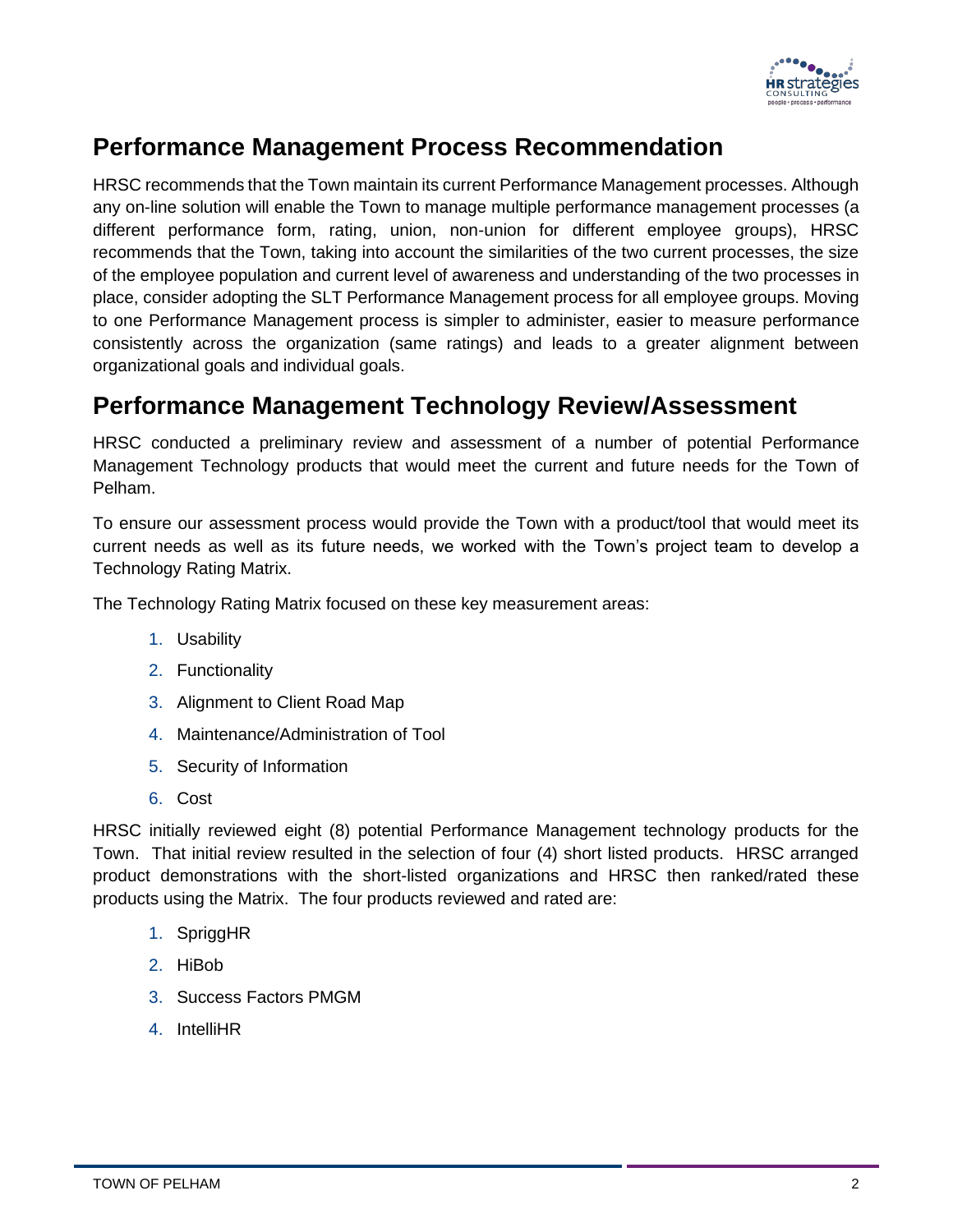

#### <span id="page-3-0"></span>**Performance Management Process Recommendation**

HRSC recommends that the Town maintain its current Performance Management processes. Although any on-line solution will enable the Town to manage multiple performance management processes (a different performance form, rating, union, non-union for different employee groups), HRSC recommends that the Town, taking into account the similarities of the two current processes, the size of the employee population and current level of awareness and understanding of the two processes in place, consider adopting the SLT Performance Management process for all employee groups. Moving to one Performance Management process is simpler to administer, easier to measure performance consistently across the organization (same ratings) and leads to a greater alignment between organizational goals and individual goals.

#### <span id="page-3-1"></span>**Performance Management Technology Review/Assessment**

HRSC conducted a preliminary review and assessment of a number of potential Performance Management Technology products that would meet the current and future needs for the Town of Pelham.

To ensure our assessment process would provide the Town with a product/tool that would meet its current needs as well as its future needs, we worked with the Town's project team to develop a Technology Rating Matrix.

The Technology Rating Matrix focused on these key measurement areas:

- 1. Usability
- 2. Functionality
- 3. Alignment to Client Road Map
- 4. Maintenance/Administration of Tool
- 5. Security of Information
- 6. Cost

HRSC initially reviewed eight (8) potential Performance Management technology products for the Town. That initial review resulted in the selection of four (4) short listed products. HRSC arranged product demonstrations with the short-listed organizations and HRSC then ranked/rated these products using the Matrix. The four products reviewed and rated are:

- 1. SpriggHR
- 2. HiBob
- 3. Success Factors PMGM
- 4. IntelliHR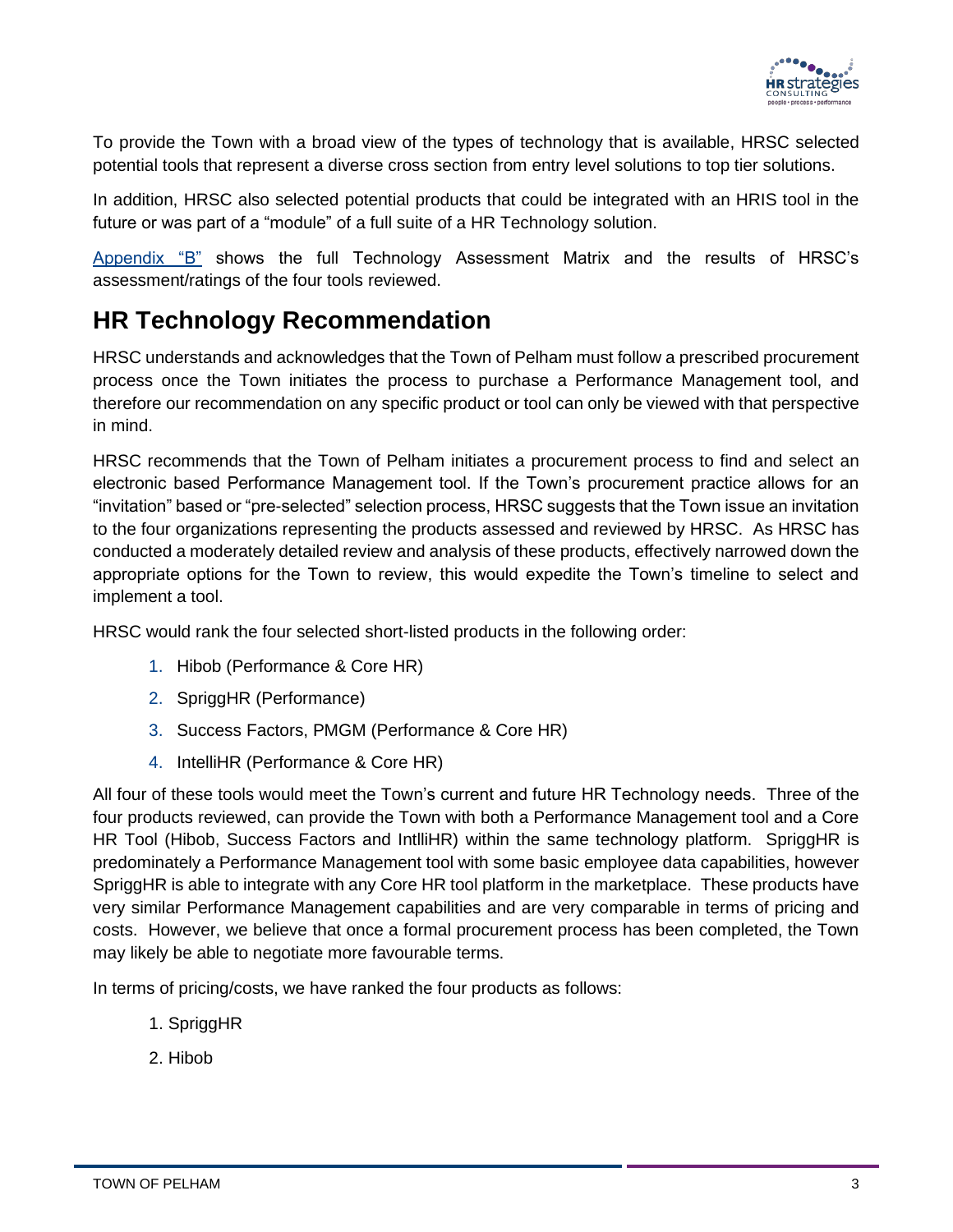

To provide the Town with a broad view of the types of technology that is available, HRSC selected potential tools that represent a diverse cross section from entry level solutions to top tier solutions.

In addition, HRSC also selected potential products that could be integrated with an HRIS tool in the future or was part of a "module" of a full suite of a HR Technology solution.

[Appendix "B"](#page-10-0) shows the full Technology Assessment Matrix and the results of HRSC's assessment/ratings of the four tools reviewed.

#### <span id="page-4-0"></span>**HR Technology Recommendation**

HRSC understands and acknowledges that the Town of Pelham must follow a prescribed procurement process once the Town initiates the process to purchase a Performance Management tool, and therefore our recommendation on any specific product or tool can only be viewed with that perspective in mind.

HRSC recommends that the Town of Pelham initiates a procurement process to find and select an electronic based Performance Management tool. If the Town's procurement practice allows for an "invitation" based or "pre-selected" selection process, HRSC suggests that the Town issue an invitation to the four organizations representing the products assessed and reviewed by HRSC. As HRSC has conducted a moderately detailed review and analysis of these products, effectively narrowed down the appropriate options for the Town to review, this would expedite the Town's timeline to select and implement a tool.

HRSC would rank the four selected short-listed products in the following order:

- 1. Hibob (Performance & Core HR)
- 2. SpriggHR (Performance)
- 3. Success Factors, PMGM (Performance & Core HR)
- 4. IntelliHR (Performance & Core HR)

All four of these tools would meet the Town's current and future HR Technology needs. Three of the four products reviewed, can provide the Town with both a Performance Management tool and a Core HR Tool (Hibob, Success Factors and IntlliHR) within the same technology platform. SpriggHR is predominately a Performance Management tool with some basic employee data capabilities, however SpriggHR is able to integrate with any Core HR tool platform in the marketplace. These products have very similar Performance Management capabilities and are very comparable in terms of pricing and costs. However, we believe that once a formal procurement process has been completed, the Town may likely be able to negotiate more favourable terms.

In terms of pricing/costs, we have ranked the four products as follows:

- 1. SpriggHR
- 2. Hibob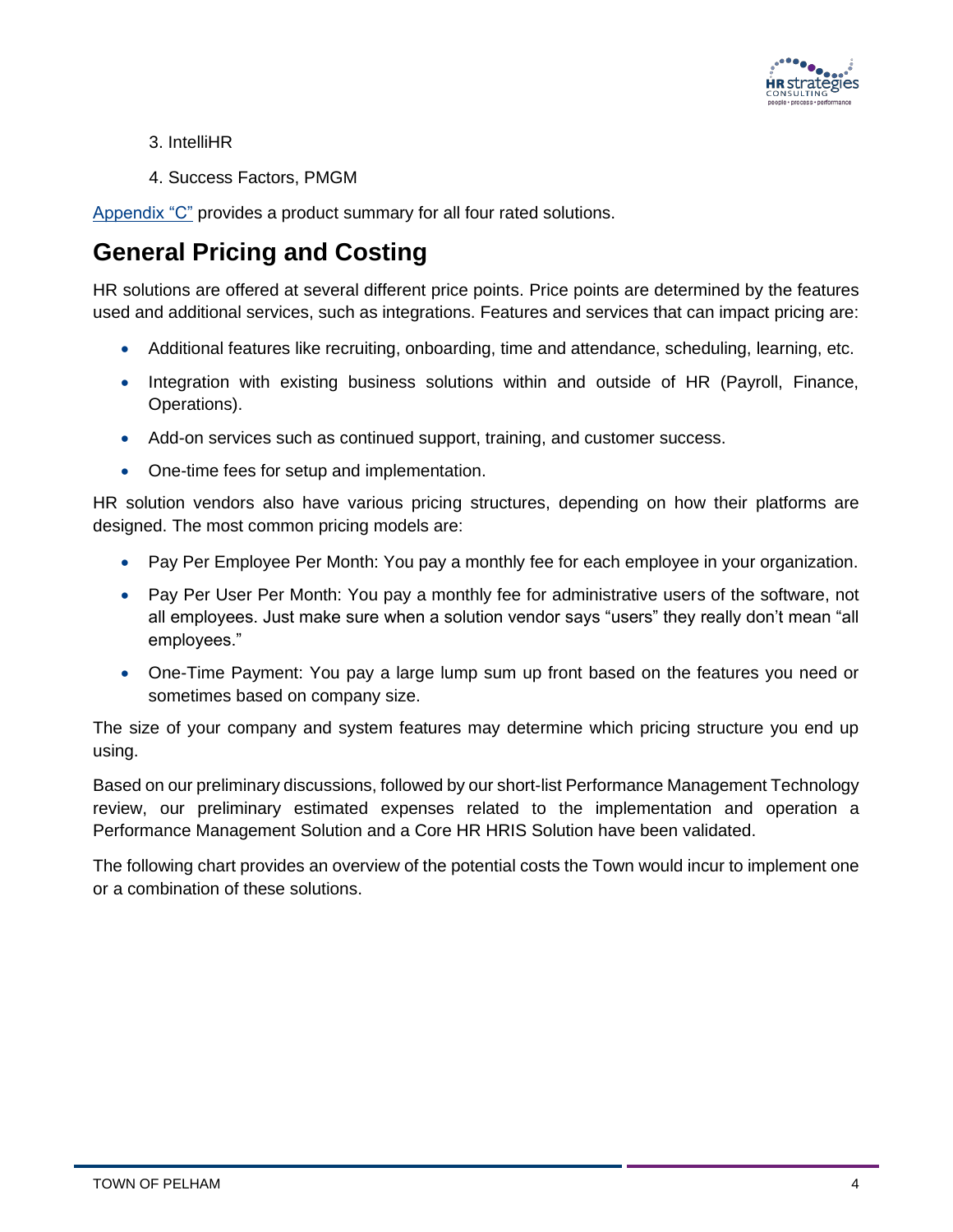

- 3. IntelliHR
- 4. Success Factors, PMGM

[Appendix "C"](#page-10-0) provides a product summary for all four rated solutions.

### <span id="page-5-0"></span>**General Pricing and Costing**

HR solutions are offered at several different price points. Price points are determined by the features used and additional services, such as integrations. Features and services that can impact pricing are:

- Additional features like recruiting, onboarding, time and attendance, scheduling, learning, etc.
- Integration with existing business solutions within and outside of HR (Payroll, Finance, Operations).
- Add-on services such as continued support, training, and customer success.
- One-time fees for setup and implementation.

HR solution vendors also have various pricing structures, depending on how their platforms are designed. The most common pricing models are:

- Pay Per Employee Per Month: You pay a monthly fee for each employee in your organization.
- Pay Per User Per Month: You pay a monthly fee for administrative users of the software, not all employees. Just make sure when a solution vendor says "users" they really don't mean "all employees."
- One-Time Payment: You pay a large lump sum up front based on the features you need or sometimes based on company size.

The size of your company and system features may determine which pricing structure you end up using.

Based on our preliminary discussions, followed by our short-list Performance Management Technology review, our preliminary estimated expenses related to the implementation and operation a Performance Management Solution and a Core HR HRIS Solution have been validated.

The following chart provides an overview of the potential costs the Town would incur to implement one or a combination of these solutions.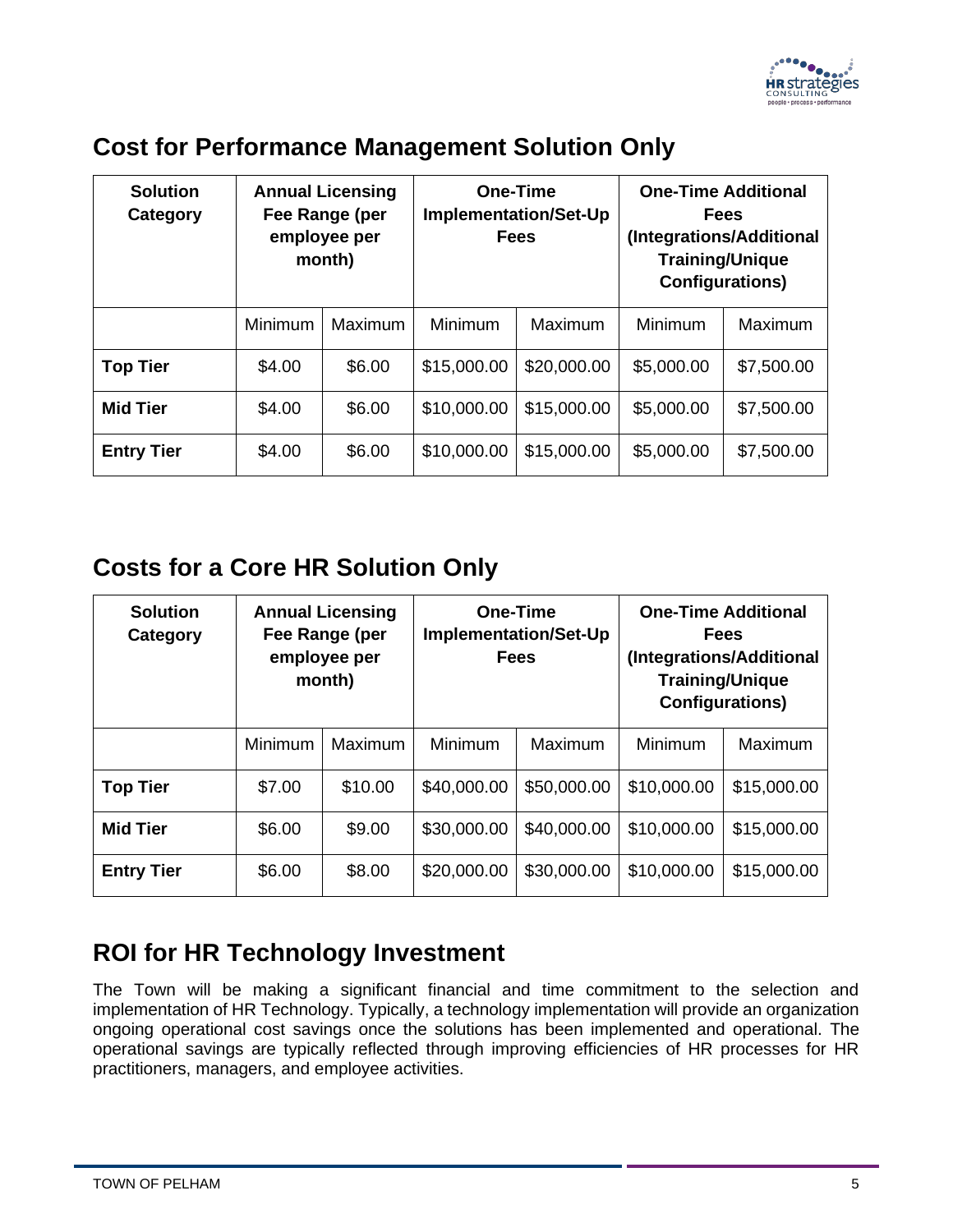

#### <span id="page-6-0"></span>**Cost for Performance Management Solution Only**

| <b>Solution</b><br>Category | <b>Annual Licensing</b><br>Fee Range (per<br>employee per<br>month) |         | <b>One-Time</b><br><b>Implementation/Set-Up</b><br><b>Fees</b> |             | <b>One-Time Additional</b><br>Fees<br>(Integrations/Additional<br><b>Training/Unique</b><br><b>Configurations)</b> |            |  |
|-----------------------------|---------------------------------------------------------------------|---------|----------------------------------------------------------------|-------------|--------------------------------------------------------------------------------------------------------------------|------------|--|
|                             | Minimum                                                             | Maximum | Minimum                                                        | Maximum     | Minimum                                                                                                            | Maximum    |  |
| <b>Top Tier</b>             | \$4.00                                                              | \$6.00  | \$15,000.00                                                    | \$20,000.00 | \$5,000.00                                                                                                         | \$7,500.00 |  |
| <b>Mid Tier</b>             | \$4.00                                                              | \$6.00  | \$10,000.00                                                    | \$15,000.00 | \$5,000.00                                                                                                         | \$7,500.00 |  |
| <b>Entry Tier</b>           | \$4.00                                                              | \$6.00  | \$10,000.00                                                    | \$15,000.00 | \$5,000.00                                                                                                         | \$7,500.00 |  |

#### <span id="page-6-1"></span>**Costs for a Core HR Solution Only**

| <b>Solution</b><br>Category |         | <b>Annual Licensing</b><br>Fee Range (per<br>employee per<br>month) |             | <b>One-Time</b><br><b>Implementation/Set-Up</b><br><b>Fees</b> |             | <b>One-Time Additional</b><br><b>Fees</b><br>(Integrations/Additional<br><b>Training/Unique</b><br><b>Configurations)</b> |
|-----------------------------|---------|---------------------------------------------------------------------|-------------|----------------------------------------------------------------|-------------|---------------------------------------------------------------------------------------------------------------------------|
|                             | Minimum | Maximum                                                             | Minimum     | Maximum                                                        | Minimum     | Maximum                                                                                                                   |
| <b>Top Tier</b>             | \$7.00  | \$10.00                                                             | \$40,000.00 | \$50,000.00                                                    | \$10,000.00 | \$15,000.00                                                                                                               |
| <b>Mid Tier</b>             | \$6.00  | \$9.00                                                              | \$30,000.00 | \$40,000.00                                                    | \$10,000.00 | \$15,000.00                                                                                                               |
| <b>Entry Tier</b>           | \$6.00  | \$8.00                                                              | \$20,000.00 | \$30,000.00                                                    | \$10,000.00 | \$15,000.00                                                                                                               |

#### <span id="page-6-2"></span>**ROI for HR Technology Investment**

The Town will be making a significant financial and time commitment to the selection and implementation of HR Technology. Typically, a technology implementation will provide an organization ongoing operational cost savings once the solutions has been implemented and operational. The operational savings are typically reflected through improving efficiencies of HR processes for HR practitioners, managers, and employee activities.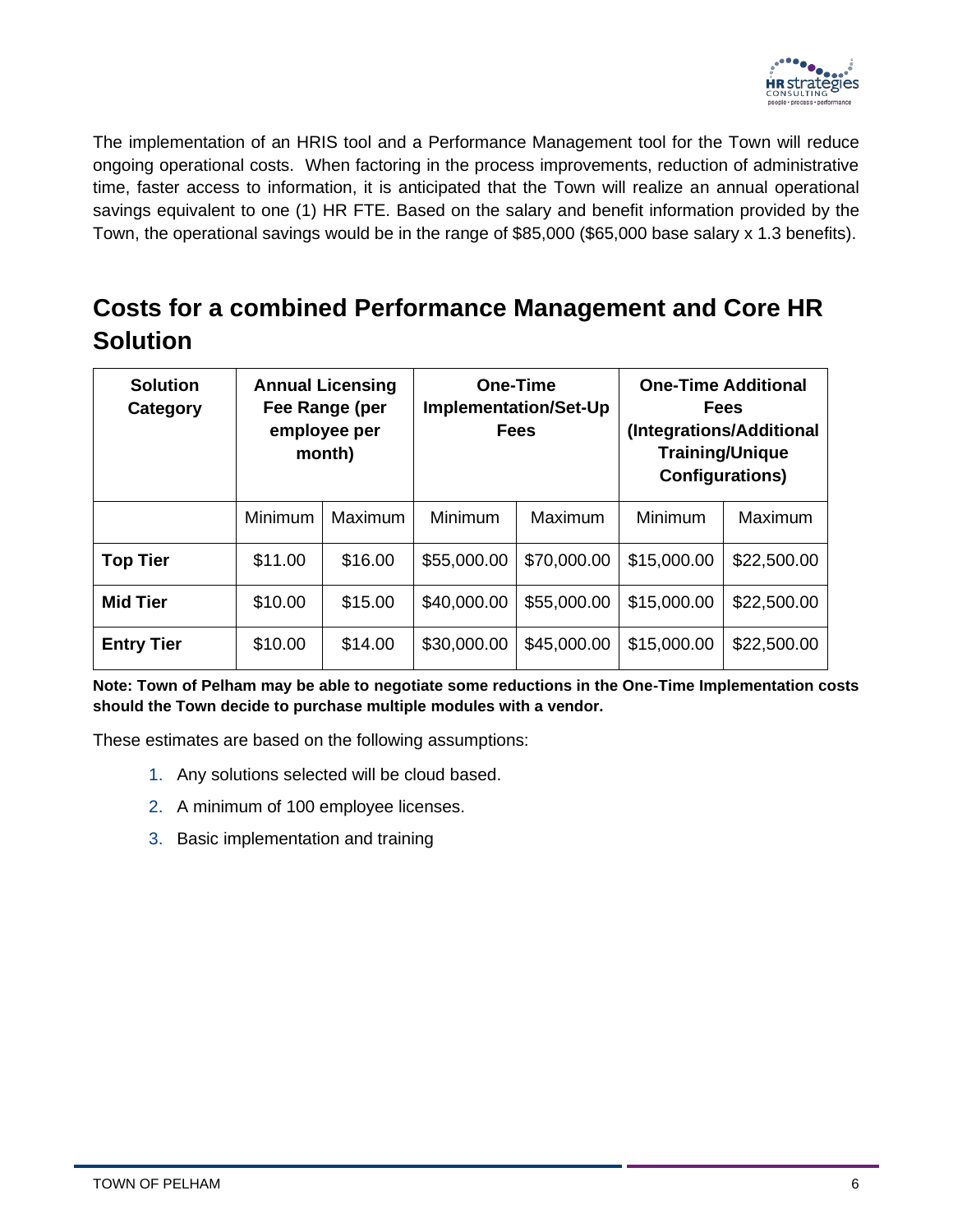

The implementation of an HRIS tool and a Performance Management tool for the Town will reduce ongoing operational costs. When factoring in the process improvements, reduction of administrative time, faster access to information, it is anticipated that the Town will realize an annual operational savings equivalent to one (1) HR FTE. Based on the salary and benefit information provided by the Town, the operational savings would be in the range of \$85,000 (\$65,000 base salary x 1.3 benefits).

### <span id="page-7-0"></span>**Costs for a combined Performance Management and Core HR Solution**

| <b>Solution</b><br>Category |         | <b>Annual Licensing</b><br>Fee Range (per<br>employee per<br>month) |             | One-Time<br><b>Implementation/Set-Up</b><br><b>Fees</b> | (Integrations/Additional<br><b>Configurations)</b> | <b>One-Time Additional</b><br><b>Fees</b><br><b>Training/Unique</b> |
|-----------------------------|---------|---------------------------------------------------------------------|-------------|---------------------------------------------------------|----------------------------------------------------|---------------------------------------------------------------------|
|                             | Minimum | Maximum                                                             | Minimum     | Maximum                                                 | Minimum                                            | Maximum                                                             |
| <b>Top Tier</b>             | \$11.00 | \$16.00                                                             | \$55,000.00 | \$70,000.00                                             | \$15,000.00                                        | \$22,500.00                                                         |
| <b>Mid Tier</b>             | \$10.00 | \$15.00                                                             | \$40,000.00 | \$55,000.00                                             | \$15,000.00                                        | \$22,500.00                                                         |
| <b>Entry Tier</b>           | \$10.00 | \$14.00                                                             | \$30,000.00 | \$45,000.00                                             | \$15,000.00                                        | \$22,500.00                                                         |

**Note: Town of Pelham may be able to negotiate some reductions in the One-Time Implementation costs should the Town decide to purchase multiple modules with a vendor.**

These estimates are based on the following assumptions:

- 1. Any solutions selected will be cloud based.
- 2. A minimum of 100 employee licenses.
- 3. Basic implementation and training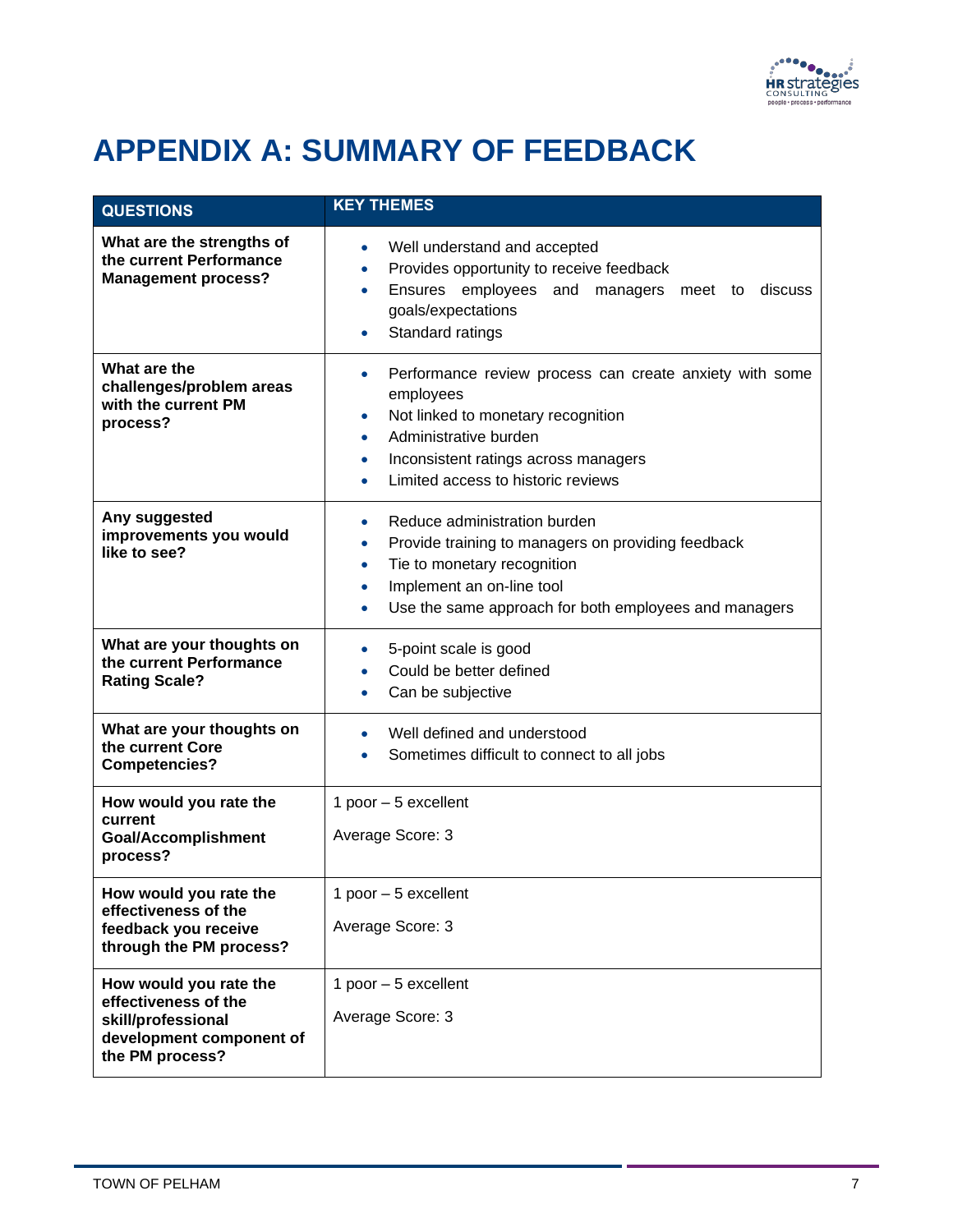

## <span id="page-8-0"></span>**APPENDIX A: SUMMARY OF FEEDBACK**

| <b>QUESTIONS</b>                                                                                                    | <b>KEY THEMES</b>                                                                                                                                                                                                                                |
|---------------------------------------------------------------------------------------------------------------------|--------------------------------------------------------------------------------------------------------------------------------------------------------------------------------------------------------------------------------------------------|
| What are the strengths of<br>the current Performance<br><b>Management process?</b>                                  | Well understand and accepted<br>Provides opportunity to receive feedback<br>$\bullet$<br>Ensures employees and<br>managers meet to<br>discuss<br>goals/expectations<br>Standard ratings                                                          |
| What are the<br>challenges/problem areas<br>with the current PM<br>process?                                         | Performance review process can create anxiety with some<br>$\bullet$<br>employees<br>Not linked to monetary recognition<br>$\bullet$<br>Administrative burden<br>Inconsistent ratings across managers<br>۰<br>Limited access to historic reviews |
| Any suggested<br>improvements you would<br>like to see?                                                             | Reduce administration burden<br>Provide training to managers on providing feedback<br>Tie to monetary recognition<br>$\bullet$<br>Implement an on-line tool<br>Use the same approach for both employees and managers                             |
| What are your thoughts on<br>the current Performance<br><b>Rating Scale?</b>                                        | 5-point scale is good<br>Could be better defined<br>Can be subjective                                                                                                                                                                            |
| What are your thoughts on<br>the current Core<br><b>Competencies?</b>                                               | Well defined and understood<br>Sometimes difficult to connect to all jobs                                                                                                                                                                        |
| How would you rate the<br>current<br><b>Goal/Accomplishment</b><br>process?                                         | 1 poor $-5$ excellent<br>Average Score: 3                                                                                                                                                                                                        |
| How would you rate the<br>effectiveness of the<br>feedback you receive<br>through the PM process?                   | 1 poor - 5 excellent<br>Average Score: 3                                                                                                                                                                                                         |
| How would you rate the<br>effectiveness of the<br>skill/professional<br>development component of<br>the PM process? | 1 poor $-5$ excellent<br>Average Score: 3                                                                                                                                                                                                        |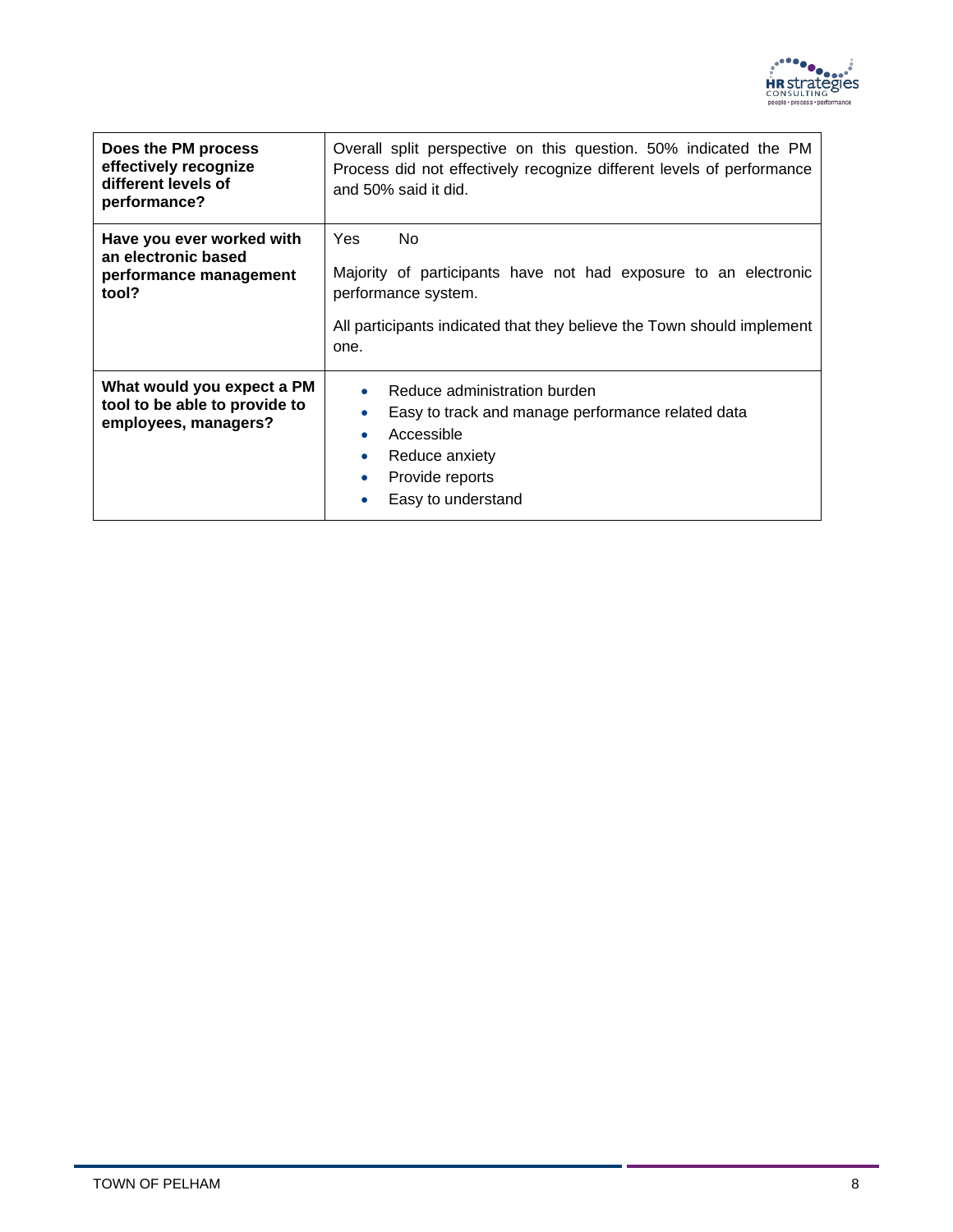

| Does the PM process<br>effectively recognize<br>different levels of<br>performance? | Overall split perspective on this question. 50% indicated the PM<br>Process did not effectively recognize different levels of performance<br>and 50% said it did.                     |
|-------------------------------------------------------------------------------------|---------------------------------------------------------------------------------------------------------------------------------------------------------------------------------------|
| Have you ever worked with<br>an electronic based<br>performance management<br>tool? | Yes<br>No<br>Majority of participants have not had exposure to an electronic<br>performance system.<br>All participants indicated that they believe the Town should implement<br>one. |
| What would you expect a PM<br>tool to be able to provide to<br>employees, managers? | Reduce administration burden<br>Easy to track and manage performance related data<br>Accessible<br>Reduce anxiety<br>Provide reports<br>Easy to understand                            |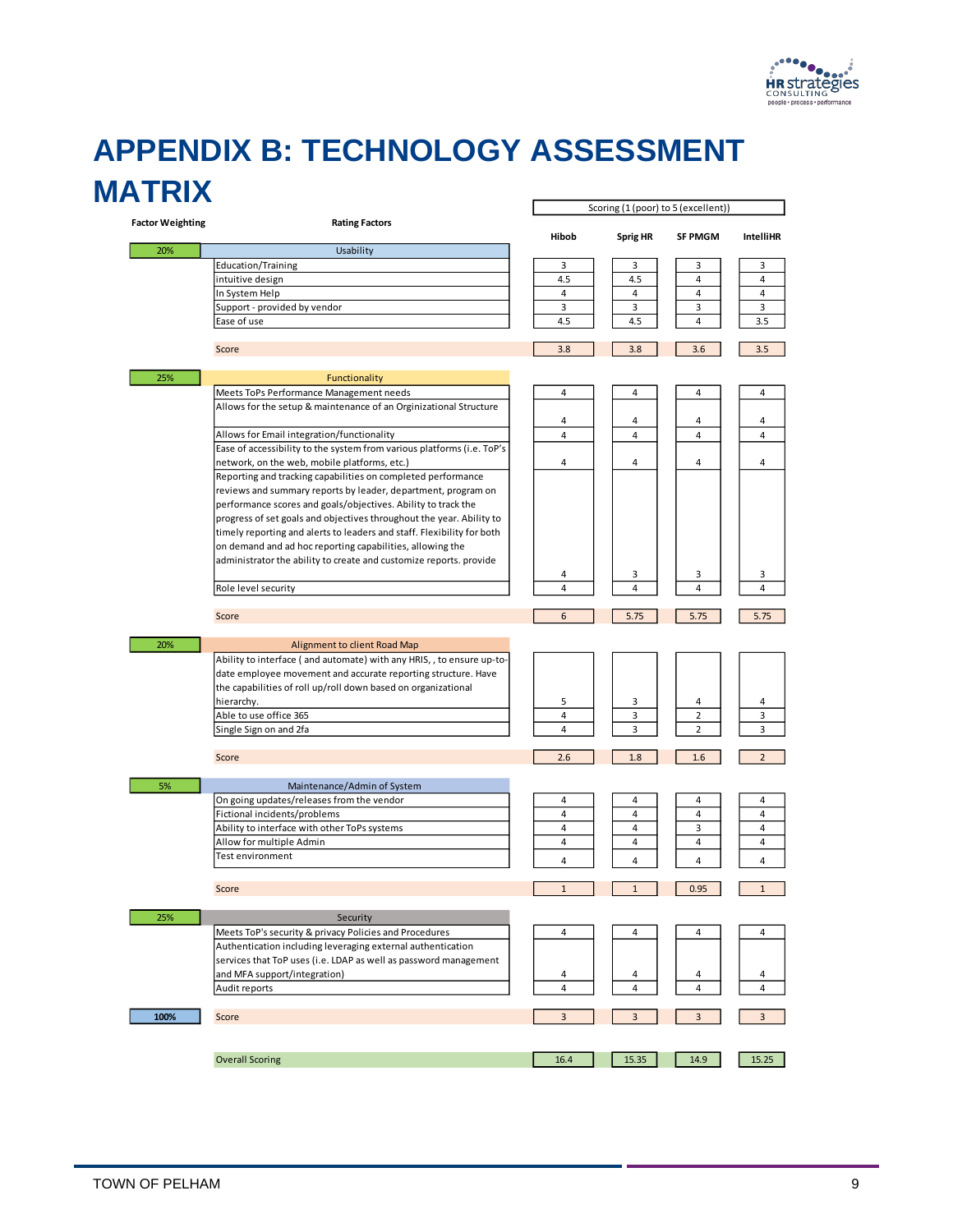

### <span id="page-10-0"></span>**APPENDIX B: TECHNOLOGY ASSESSMENT MATRIX**

|                         |                                                                        | Scoring (1 (poor) to 5 (excellent)) |                 |                |                  |  |
|-------------------------|------------------------------------------------------------------------|-------------------------------------|-----------------|----------------|------------------|--|
| <b>Factor Weighting</b> | <b>Rating Factors</b>                                                  | Hibob                               |                 | <b>SF PMGM</b> | <b>IntelliHR</b> |  |
| 20%                     | Usability                                                              |                                     | <b>Sprig HR</b> |                |                  |  |
|                         | Education/Training                                                     | 3                                   | 3               | 3              | 3                |  |
|                         | intuitive design                                                       | 4.5                                 | 4.5             | 4              | $\overline{4}$   |  |
|                         | In System Help                                                         | $\overline{4}$                      | $\overline{4}$  | 4              | 4                |  |
|                         | Support - provided by vendor                                           | 3                                   | 3               | 3              | 3                |  |
|                         | Ease of use                                                            | 4.5                                 | 4.5             | 4              | 3.5              |  |
|                         |                                                                        |                                     |                 |                |                  |  |
|                         | Score                                                                  | 3.8                                 | 3.8             | 3.6            | 3.5              |  |
| 25%                     | Functionality                                                          |                                     |                 |                |                  |  |
|                         | Meets ToPs Performance Management needs                                | 4                                   | 4               | 4              | 4                |  |
|                         | Allows for the setup & maintenance of an Orginizational Structure      |                                     |                 |                |                  |  |
|                         |                                                                        | 4                                   | 4               | 4              | 4                |  |
|                         | Allows for Email integration/functionality                             | $\overline{4}$                      | $\overline{4}$  | 4              | $\overline{4}$   |  |
|                         | Ease of accessibility to the system from various platforms (i.e. ToP's |                                     |                 |                |                  |  |
|                         | network, on the web, mobile platforms, etc.)                           | 4                                   | 4               | 4              | 4                |  |
|                         | Reporting and tracking capabilities on completed performance           |                                     |                 |                |                  |  |
|                         | reviews and summary reports by leader, department, program on          |                                     |                 |                |                  |  |
|                         | performance scores and goals/objectives. Ability to track the          |                                     |                 |                |                  |  |
|                         | progress of set goals and objectives throughout the year. Ability to   |                                     |                 |                |                  |  |
|                         | timely reporting and alerts to leaders and staff. Flexibility for both |                                     |                 |                |                  |  |
|                         | on demand and ad hoc reporting capabilities, allowing the              |                                     |                 |                |                  |  |
|                         | administrator the ability to create and customize reports. provide     |                                     |                 |                |                  |  |
|                         |                                                                        | 4                                   | 3               | 3              | 3                |  |
|                         | Role level security                                                    | 4                                   | $\overline{4}$  | 4              | 4                |  |
|                         | Score                                                                  | 6                                   | 5.75            | 5.75           | 5.75             |  |
|                         |                                                                        |                                     |                 |                |                  |  |
| 20%                     | Alignment to client Road Map                                           |                                     |                 |                |                  |  |
|                         | Ability to interface (and automate) with any HRIS, , to ensure up-to-  |                                     |                 |                |                  |  |
|                         | date employee movement and accurate reporting structure. Have          |                                     |                 |                |                  |  |
|                         | the capabilities of roll up/roll down based on organizational          |                                     |                 |                |                  |  |
|                         | hierarchy.                                                             | 5                                   | 3               | 4              | 4                |  |
|                         | Able to use office 365                                                 | $\overline{4}$                      | 3               | $\overline{2}$ | 3                |  |
|                         | Single Sign on and 2fa                                                 | $\overline{4}$                      | 3               | $\overline{2}$ | 3                |  |
|                         | Score                                                                  | 2.6                                 | 1.8             | 1.6            | $\overline{2}$   |  |
| 5%                      | Maintenance/Admin of System                                            |                                     |                 |                |                  |  |
|                         | On going updates/releases from the vendor                              | 4                                   | 4               | 4              | 4                |  |
|                         | Fictional incidents/problems                                           | $\overline{4}$                      | $\overline{4}$  | 4              | $\overline{4}$   |  |
|                         | Ability to interface with other ToPs systems                           | 4                                   | 4               | 3              | 4                |  |
|                         | Allow for multiple Admin                                               | $\overline{4}$                      | $\overline{4}$  | $\overline{4}$ | 4                |  |
|                         | Test environment                                                       |                                     |                 |                |                  |  |
|                         |                                                                        | 4                                   | 4               | 4              | 4                |  |
|                         | Score                                                                  | $\mathbf{1}$                        | $\mathbf{1}$    | 0.95           | $\mathbf{1}$     |  |
| 25%                     | Security                                                               |                                     |                 |                |                  |  |
|                         | Meets ToP's security & privacy Policies and Procedures                 | 4                                   | 4               | 4              | 4                |  |
|                         | Authentication including leveraging external authentication            |                                     |                 |                |                  |  |
|                         | services that ToP uses (i.e. LDAP as well as password management       |                                     |                 |                |                  |  |
|                         | and MFA support/integration)                                           |                                     |                 |                | 4                |  |
|                         | Audit reports                                                          | 4<br>4                              | 4<br>4          | 4<br>4         | 4                |  |
|                         |                                                                        |                                     |                 |                |                  |  |
| 100%                    | Score                                                                  | 3                                   | 3               | 3              | 3                |  |
|                         |                                                                        |                                     |                 |                |                  |  |
|                         | <b>Overall Scoring</b>                                                 | 16.4                                | 15.35           | 14.9           | 15.25            |  |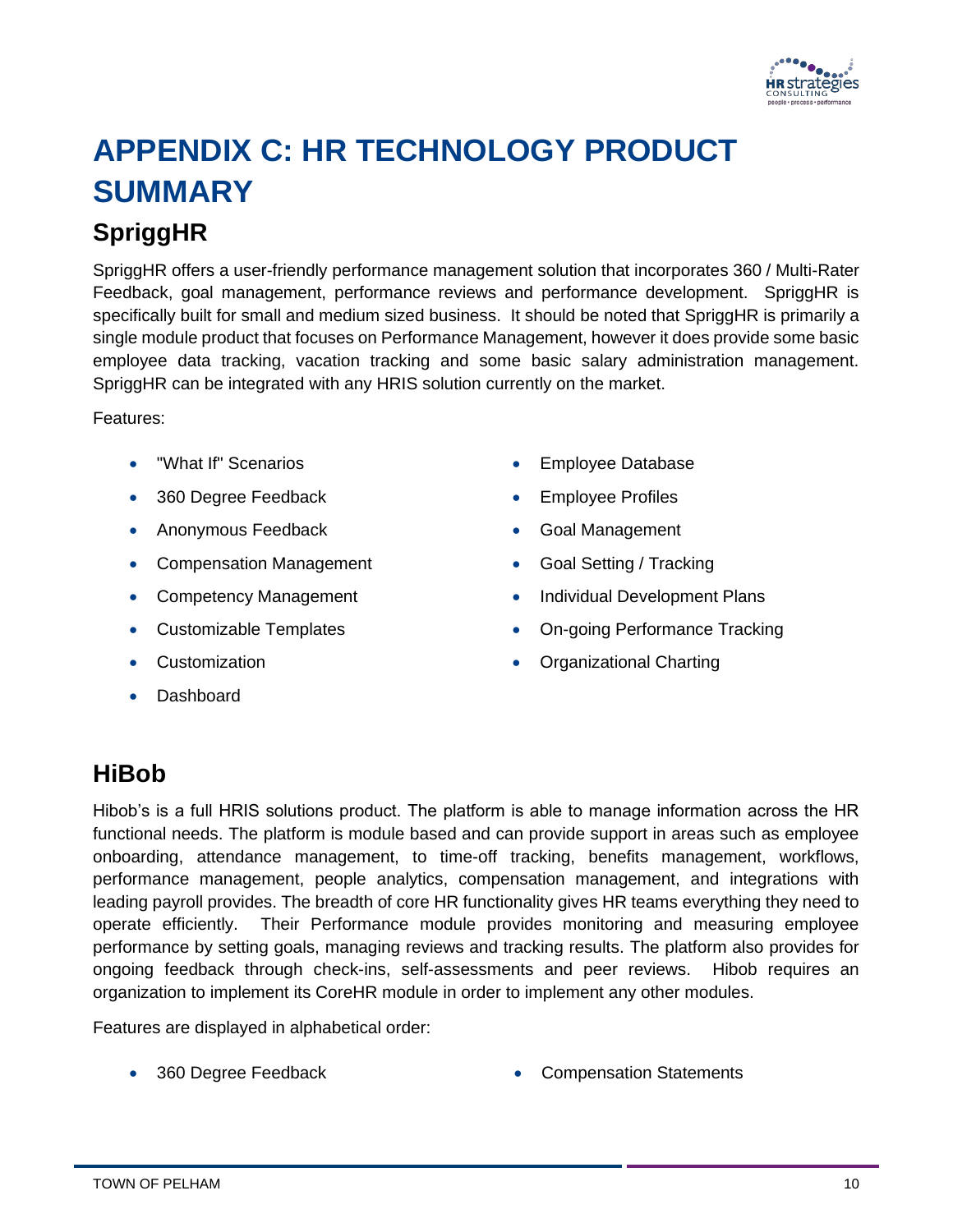

# <span id="page-11-0"></span>**APPENDIX C: HR TECHNOLOGY PRODUCT SUMMARY**

### <span id="page-11-1"></span>**SpriggHR**

SpriggHR offers a user-friendly performance management solution that incorporates 360 / Multi-Rater Feedback, goal management, performance reviews and performance development. SpriggHR is specifically built for small and medium sized business. It should be noted that SpriggHR is primarily a single module product that focuses on Performance Management, however it does provide some basic employee data tracking, vacation tracking and some basic salary administration management. SpriggHR can be integrated with any HRIS solution currently on the market.

Features:

- "What If" Scenarios
- 360 Degree Feedback
- Anonymous Feedback
- Compensation Management
- Competency Management
- Customizable Templates
- Customization
- Dashboard
- Employee Database
- Employee Profiles
- Goal Management
- Goal Setting / Tracking
- Individual Development Plans
- On-going Performance Tracking
- Organizational Charting

#### <span id="page-11-2"></span>**HiBob**

Hibob's is a full HRIS solutions product. The platform is able to manage information across the HR functional needs. The platform is module based and can provide support in areas such as employee onboarding, attendance management, to time-off tracking, benefits management, workflows, performance management, people analytics, compensation management, and integrations with leading payroll provides. The breadth of core HR functionality gives HR teams everything they need to operate efficiently. Their Performance module provides monitoring and measuring employee performance by setting goals, managing reviews and tracking results. The platform also provides for ongoing feedback through check-ins, self-assessments and peer reviews. Hibob requires an organization to implement its CoreHR module in order to implement any other modules.

Features are displayed in alphabetical order:

- 
- 360 Degree Feedback Compensation Statements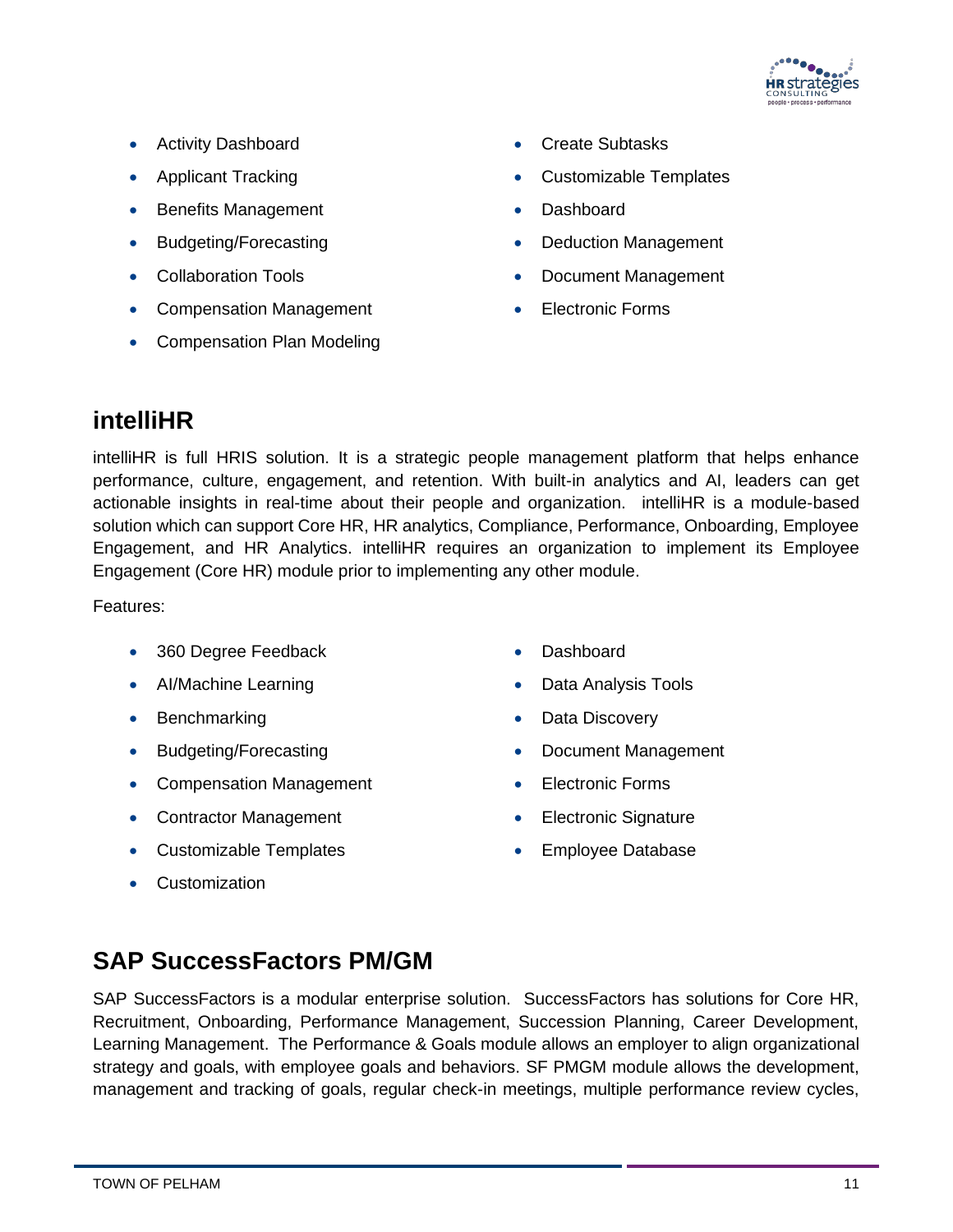

- Activity Dashboard
- Applicant Tracking
- Benefits Management
- Budgeting/Forecasting
- Collaboration Tools
- Compensation Management
- Compensation Plan Modeling
- Create Subtasks
- Customizable Templates
- Dashboard
- Deduction Management
- Document Management
- **Electronic Forms**

#### <span id="page-12-0"></span>**intelliHR**

intelliHR is full HRIS solution. It is a strategic people management platform that helps enhance performance, culture, engagement, and retention. With built-in analytics and AI, leaders can get actionable insights in real-time about their people and organization. intelliHR is a module-based solution which can support Core HR, HR analytics, Compliance, Performance, Onboarding, Employee Engagement, and HR Analytics. intelliHR requires an organization to implement its Employee Engagement (Core HR) module prior to implementing any other module.

Features:

- 360 Degree Feedback
- AI/Machine Learning
- Benchmarking
- Budgeting/Forecasting
- Compensation Management
- Contractor Management
- Customizable Templates
- Customization
- Dashboard
- Data Analysis Tools
- Data Discovery
- Document Management
- Electronic Forms
- Electronic Signature
- Employee Database

#### <span id="page-12-1"></span>**SAP SuccessFactors PM/GM**

SAP SuccessFactors is a modular enterprise solution. SuccessFactors has solutions for Core HR, Recruitment, Onboarding, Performance Management, Succession Planning, Career Development, Learning Management. The Performance & Goals module allows an employer to align organizational strategy and goals, with employee goals and behaviors. SF PMGM module allows the development, management and tracking of goals, regular check-in meetings, multiple performance review cycles,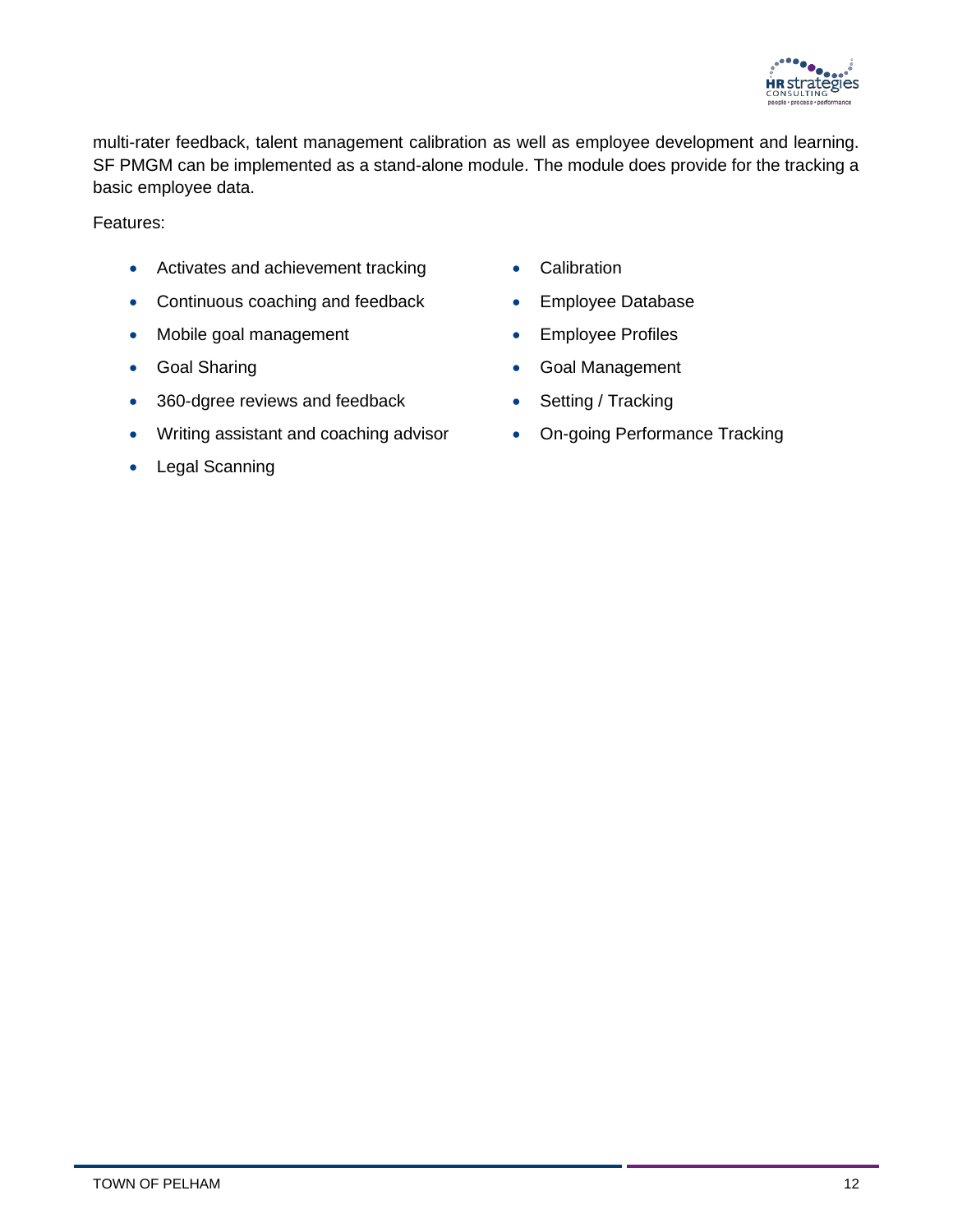

multi-rater feedback, talent management calibration as well as employee development and learning. SF PMGM can be implemented as a stand-alone module. The module does provide for the tracking a basic employee data.

Features:

- Activates and achievement tracking
- Continuous coaching and feedback
- Mobile goal management
- Goal Sharing
- 360-dgree reviews and feedback
- Writing assistant and coaching advisor
- Legal Scanning
- Calibration
- Employee Database
- Employee Profiles
- Goal Management
- Setting / Tracking
- On-going Performance Tracking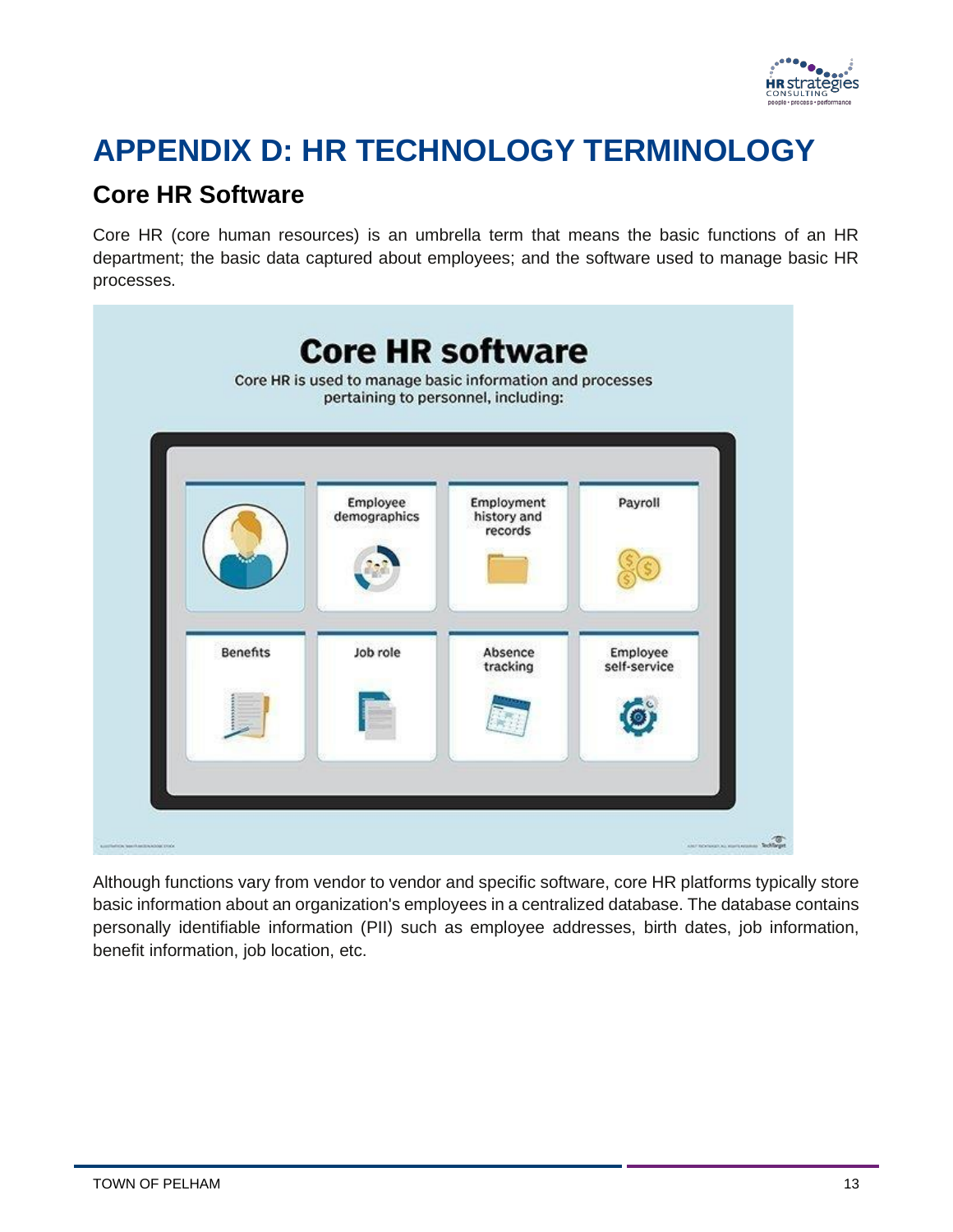

## <span id="page-14-0"></span>**APPENDIX D: HR TECHNOLOGY TERMINOLOGY**

#### **Core HR Software**

Core HR (core human resources) is an umbrella term that means the basic functions of an HR department; the basic data captured about employees; and the software used to manage basic HR processes.



Although functions vary from vendor to vendor and specific software, core HR platforms typically store basic information about an organization's employees in a centralized database. The database contains personally identifiable information (PII) such as employee addresses, birth dates, job information, benefit information, job location, etc.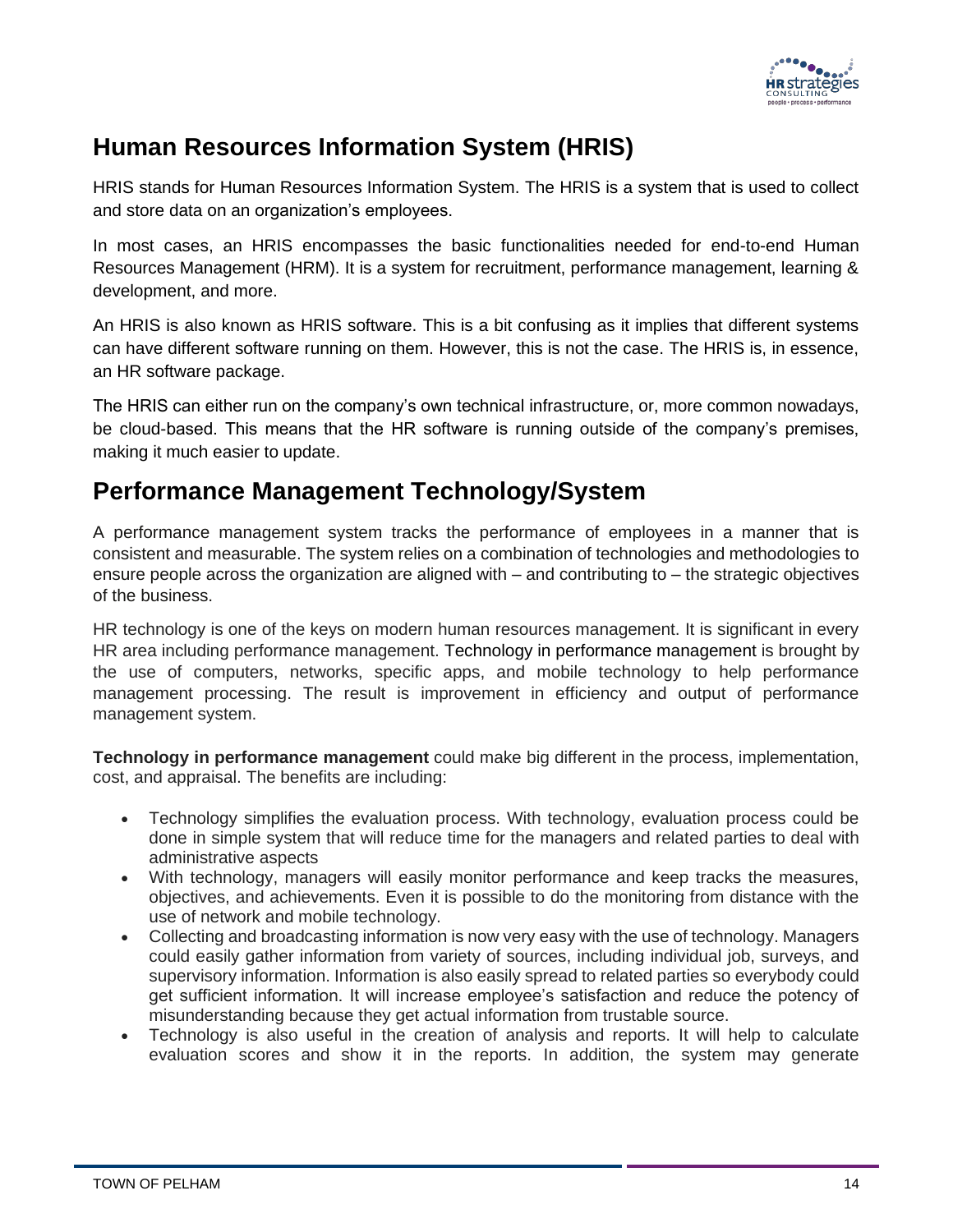

### **Human Resources Information System (HRIS)**

HRIS stands for Human Resources Information System. The HRIS is a system that is used to collect and store data on an organization's employees.

In most cases, an HRIS encompasses the basic functionalities needed for end-to-end Human Resources Management (HRM). It is a system for recruitment, performance management, learning & development, and more.

An HRIS is also known as HRIS software. This is a bit confusing as it implies that different systems can have different software running on them. However, this is not the case. The HRIS is, in essence, an HR software package.

The HRIS can either run on the company's own technical infrastructure, or, more common nowadays, be cloud-based. This means that the HR software is running outside of the company's premises, making it much easier to update.

#### **Performance Management Technology/System**

A performance management system tracks the performance of employees in a manner that is consistent and measurable. The system relies on a combination of technologies and methodologies to ensure people across the organization are aligned with – and contributing to – the strategic objectives of the business.

HR technology is one of the keys on modern human resources management. It is significant in every HR area including performance management. Technology in performance [management](http://hr-management-slides.com/) is brought by the use of computers, networks, specific apps, and mobile technology to help performance management processing. The result is improvement in efficiency and output of performance management system.

**Technology in performance management** could make big different in the process, implementation, cost, and appraisal. The benefits are including:

- Technology simplifies the evaluation process. With technology, evaluation process could be done in simple system that will reduce time for the managers and related parties to deal with administrative aspects
- With technology, managers will easily monitor performance and keep tracks the measures, objectives, and achievements. Even it is possible to do the monitoring from distance with the use of network and mobile technology.
- Collecting and broadcasting information is now very easy with the use of technology. Managers could easily gather information from variety of sources, including individual job, surveys, and supervisory information. Information is also easily spread to related parties so everybody could get sufficient information. It will increase employee's satisfaction and reduce the potency of misunderstanding because they get actual information from trustable source.
- Technology is also useful in the creation of analysis and reports. It will help to calculate evaluation scores and show it in the reports. In addition, the system may generate